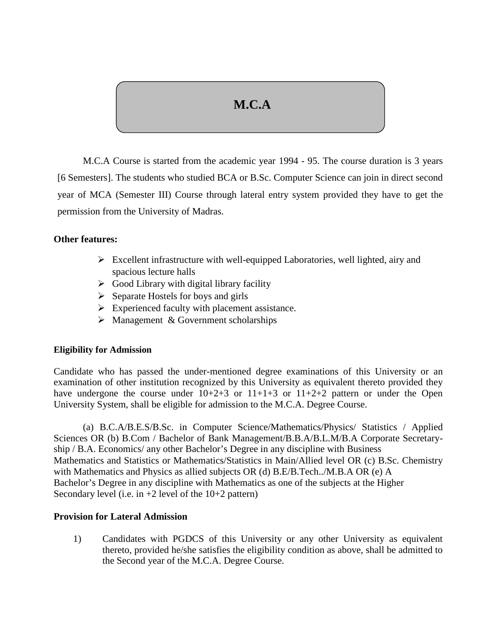# **M.C.A**

M.C.A Course is started from the academic year 1994 - 95. The course duration is 3 years [6 Semesters]. The students who studied BCA or B.Sc. Computer Science can join in direct second year of MCA (Semester III) Course through lateral entry system provided they have to get the permission from the University of Madras.

## **Other features:**

- $\triangleright$  Excellent infrastructure with well-equipped Laboratories, well lighted, airy and spacious lecture halls
- $\triangleright$  Good Library with digital library facility
- $\triangleright$  Separate Hostels for boys and girls
- $\triangleright$  Experienced faculty with placement assistance.
- $\triangleright$  Management & Government scholarships

### **Eligibility for Admission**

Candidate who has passed the under-mentioned degree examinations of this University or an examination of other institution recognized by this University as equivalent thereto provided they have undergone the course under  $10+2+3$  or  $11+1+3$  or  $11+2+2$  pattern or under the Open University System, shall be eligible for admission to the M.C.A. Degree Course.

(a) B.C.A/B.E.S/B.Sc. in Computer Science/Mathematics/Physics/ Statistics / Applied Sciences OR (b) B.Com / Bachelor of Bank Management/B.B.A/B.L.M/B.A Corporate Secretary ship / B.A. Economics/ any other Bachelor's Degree in any discipline with Business Mathematics and Statistics or Mathematics/Statistics in Main/Allied level OR (c) B.Sc. Chemistry with Mathematics and Physics as allied subjects OR (d) B.E/B.Tech../M.B.A OR (e) A Bachelor's Degree in any discipline with Mathematics as one of the subjects at the Higher Secondary level (i.e. in  $+2$  level of the  $10+2$  pattern)

## **Provision for Lateral Admission**

1) Candidates with PGDCS of this University or any other University as equivalent thereto, provided he/she satisfies the eligibility condition as above, shall be admitted to the Second year of the M.C.A. Degree Course.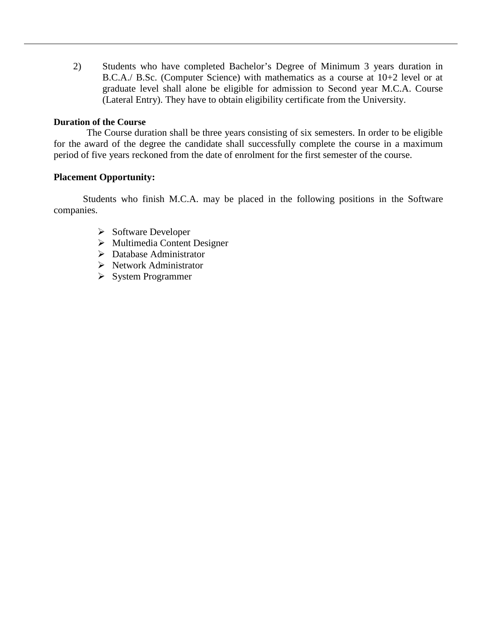2) Students who have completed Bachelor's Degree of Minimum 3 years duration in B.C.A./ B.Sc. (Computer Science) with mathematics as a course at 10+2 level or at graduate level shall alone be eligible for admission to Second year M.C.A. Course (Lateral Entry). They have to obtain eligibility certificate from the University.

#### **Duration of the Course**

The Course duration shall be three years consisting of six semesters. In order to be eligible for the award of the degree the candidate shall successfully complete the course in a maximum period of five years reckoned from the date of enrolment for the first semester of the course.

### **Placement Opportunity:**

Students who finish M.C.A. may be placed in the following positions in the Software companies.

- $\triangleright$  Software Developer
- $\triangleright$  Multimedia Content Designer
- Database Administrator
- $\triangleright$  Network Administrator
- $\triangleright$  System Programmer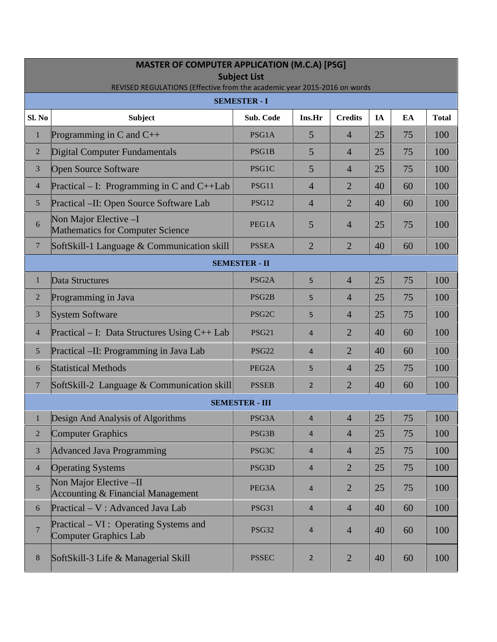| <b>MASTER OF COMPUTER APPLICATION (M.C.A) [PSG]</b><br><b>Subject List</b><br>REVISED REGULATIONS (Effective from the academic year 2015-2016 on words |                                                                        |                       |                |                |    |    |              |  |  |  |  |
|--------------------------------------------------------------------------------------------------------------------------------------------------------|------------------------------------------------------------------------|-----------------------|----------------|----------------|----|----|--------------|--|--|--|--|
| <b>SEMESTER - I</b>                                                                                                                                    |                                                                        |                       |                |                |    |    |              |  |  |  |  |
| Sl. No                                                                                                                                                 | <b>Subject</b>                                                         | Sub. Code             | Ins.Hr         | <b>Credits</b> | IA | EA | <b>Total</b> |  |  |  |  |
| $\mathbf{1}$                                                                                                                                           | Programming in C and $C_{++}$                                          | PSG1A                 | 5              | $\overline{4}$ | 25 | 75 | 100          |  |  |  |  |
| $\overline{2}$                                                                                                                                         | <b>Digital Computer Fundamentals</b>                                   | PSG1B                 | 5              | $\overline{4}$ | 25 | 75 | 100          |  |  |  |  |
| $\mathfrak{Z}$                                                                                                                                         | <b>Open Source Software</b>                                            | PSG1C                 | 5              | $\overline{4}$ | 25 | 75 | 100          |  |  |  |  |
| $\overline{4}$                                                                                                                                         | Practical – I: Programming in C and $C++Lab$                           | PSG11                 | $\overline{4}$ | $\overline{2}$ | 40 | 60 | 100          |  |  |  |  |
| 5                                                                                                                                                      | Practical -II: Open Source Software Lab                                | <b>PSG12</b>          | 4              | $\overline{2}$ | 40 | 60 | 100          |  |  |  |  |
| 6                                                                                                                                                      | Non Major Elective -I<br><b>Mathematics for Computer Science</b>       | PEG1A                 | 5              | $\overline{4}$ | 25 | 75 | 100          |  |  |  |  |
| $\boldsymbol{7}$                                                                                                                                       | SoftSkill-1 Language & Communication skill                             | <b>PSSEA</b>          | $\overline{2}$ | $\overline{2}$ | 40 | 60 | 100          |  |  |  |  |
| <b>SEMESTER - II</b>                                                                                                                                   |                                                                        |                       |                |                |    |    |              |  |  |  |  |
| $\mathbf{1}$                                                                                                                                           | Data Structures                                                        | PSG <sub>2</sub> A    | 5              | $\overline{4}$ | 25 | 75 | 100          |  |  |  |  |
| $\overline{2}$                                                                                                                                         | Programming in Java                                                    | PSG <sub>2</sub> B    | 5              | $\overline{4}$ | 25 | 75 | 100          |  |  |  |  |
| $\mathfrak{Z}$                                                                                                                                         | <b>System Software</b>                                                 | PSG <sub>2</sub> C    | 5              | $\overline{4}$ | 25 | 75 | 100          |  |  |  |  |
| $\overline{4}$                                                                                                                                         | Practical – I: Data Structures Using $C_{++}$ Lab                      | <b>PSG21</b>          | 4              | $\overline{2}$ | 40 | 60 | 100          |  |  |  |  |
| $\mathfrak{S}$                                                                                                                                         | Practical –II: Programming in Java Lab                                 | <b>PSG22</b>          | $\overline{4}$ | $\overline{2}$ | 40 | 60 | 100          |  |  |  |  |
| 6                                                                                                                                                      | <b>Statistical Methods</b>                                             | PEG2A                 | 5              | $\overline{4}$ | 25 | 75 | 100          |  |  |  |  |
| $\overline{7}$                                                                                                                                         | SoftSkill-2 Language & Communication skill                             | <b>PSSEB</b>          | $\overline{2}$ | $\overline{2}$ | 40 | 60 | 100          |  |  |  |  |
|                                                                                                                                                        |                                                                        | <b>SEMESTER - III</b> |                |                |    |    |              |  |  |  |  |
| $\mathbf{1}$                                                                                                                                           | Design And Analysis of Algorithms                                      | PSG3A                 | 4              | $\overline{4}$ | 25 | 75 | 100          |  |  |  |  |
| $\overline{2}$                                                                                                                                         | <b>Computer Graphics</b>                                               | PSG3B                 | $\overline{4}$ | $\overline{4}$ | 25 | 75 | 100          |  |  |  |  |
| $\mathfrak{Z}$                                                                                                                                         | <b>Advanced Java Programming</b>                                       | PSG3C                 | $\overline{4}$ | $\overline{4}$ | 25 | 75 | 100          |  |  |  |  |
| $\overline{4}$                                                                                                                                         | <b>Operating Systems</b>                                               | PSG3D                 | $\overline{4}$ | $\overline{2}$ | 25 | 75 | 100          |  |  |  |  |
| 5                                                                                                                                                      | Non Major Elective -II<br><b>Accounting &amp; Financial Management</b> | PEG3A                 | $\overline{4}$ | $\overline{2}$ | 25 | 75 | 100          |  |  |  |  |
| $\boldsymbol{6}$                                                                                                                                       | Practical – V: Advanced Java Lab                                       | PSG31                 | $\overline{4}$ | $\overline{4}$ | 40 | 60 | 100          |  |  |  |  |
| $\overline{7}$                                                                                                                                         | Practical – VI : Operating Systems and<br><b>Computer Graphics Lab</b> | <b>PSG32</b>          | 4              | $\overline{4}$ | 40 | 60 | 100          |  |  |  |  |
| $8\,$                                                                                                                                                  | SoftSkill-3 Life & Managerial Skill                                    | <b>PSSEC</b>          | $\overline{2}$ | $\overline{2}$ | 40 | 60 | 100          |  |  |  |  |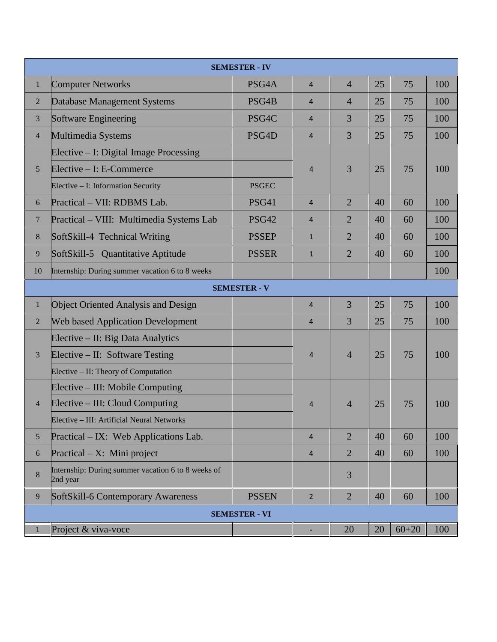|                      |                                                                | <b>SEMESTER - IV</b> |                |                |    |           |     |  |  |
|----------------------|----------------------------------------------------------------|----------------------|----------------|----------------|----|-----------|-----|--|--|
| $\mathbf{1}$         | <b>Computer Networks</b>                                       | PSG4A                | $\overline{4}$ | $\overline{4}$ | 25 | 75        | 100 |  |  |
| $\sqrt{2}$           | Database Management Systems                                    | PSG4B                | $\overline{4}$ | $\overline{4}$ | 25 | 75        | 100 |  |  |
| $\mathfrak{Z}$       | Software Engineering                                           | PSG4C                | $\overline{4}$ | 3              | 25 | 75        | 100 |  |  |
| $\overline{4}$       | Multimedia Systems                                             | PSG4D                | $\overline{4}$ | 3              | 25 | 75        | 100 |  |  |
| $\mathfrak{S}$       | Elective – I: Digital Image Processing                         |                      | $\overline{4}$ | 3              | 25 | 75        | 100 |  |  |
|                      | Elective - I: E-Commerce                                       |                      |                |                |    |           |     |  |  |
|                      | Elective - I: Information Security                             | <b>PSGEC</b>         |                |                |    |           |     |  |  |
| 6                    | Practical - VII: RDBMS Lab.                                    | <b>PSG41</b>         | $\overline{4}$ | $\overline{2}$ | 40 | 60        | 100 |  |  |
| $\overline{7}$       | Practical - VIII: Multimedia Systems Lab                       | <b>PSG42</b>         | $\overline{4}$ | $\overline{2}$ | 40 | 60        | 100 |  |  |
| $\,8\,$              | SoftSkill-4 Technical Writing                                  | <b>PSSEP</b>         | $\mathbf{1}$   | $\overline{2}$ | 40 | 60        | 100 |  |  |
| 9                    | SoftSkill-5 Quantitative Aptitude                              | <b>PSSER</b>         | $\mathbf{1}$   | $\overline{2}$ | 40 | 60        | 100 |  |  |
| 10                   | Internship: During summer vacation 6 to 8 weeks                |                      |                |                |    |           | 100 |  |  |
| <b>SEMESTER - V</b>  |                                                                |                      |                |                |    |           |     |  |  |
| $\mathbf{1}$         | <b>Object Oriented Analysis and Design</b>                     |                      | $\overline{4}$ | $\overline{3}$ | 25 | 75        | 100 |  |  |
| $\overline{2}$       | <b>Web based Application Development</b>                       |                      | $\overline{4}$ | $\overline{3}$ | 25 | 75        | 100 |  |  |
| $\mathfrak{Z}$       | Elective – II: Big Data Analytics                              |                      |                | $\overline{4}$ | 25 | 75        | 100 |  |  |
|                      | Elective – II: Software Testing                                |                      | $\overline{4}$ |                |    |           |     |  |  |
|                      | Elective – II: Theory of Computation                           |                      |                |                |    |           |     |  |  |
| $\overline{4}$       | Elective – III: Mobile Computing                               |                      |                |                |    |           |     |  |  |
|                      | Elective – III: Cloud Computing                                |                      | $\overline{4}$ | $\overline{4}$ | 25 | 75        | 100 |  |  |
|                      | Elective - III: Artificial Neural Networks                     |                      |                |                |    |           |     |  |  |
| $\mathfrak{S}$       | Practical – IX: Web Applications Lab.                          |                      | $\overline{4}$ | $\overline{2}$ | 40 | 60        | 100 |  |  |
| 6                    | Practical $- X$ : Mini project                                 |                      | $\overline{4}$ | $\overline{2}$ | 40 | 60        | 100 |  |  |
| $\,8\,$              | Internship: During summer vacation 6 to 8 weeks of<br>2nd year |                      |                | 3              |    |           |     |  |  |
| $\overline{9}$       | SoftSkill-6 Contemporary Awareness                             | <b>PSSEN</b>         | $\overline{2}$ | $\overline{2}$ | 40 | 60        | 100 |  |  |
| <b>SEMESTER - VI</b> |                                                                |                      |                |                |    |           |     |  |  |
| 1                    | Project & viva-voce                                            |                      | ٠              | 20             | 20 | $60 + 20$ | 100 |  |  |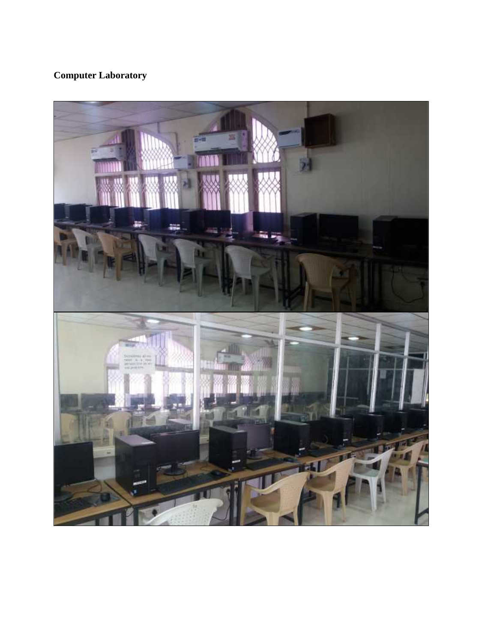## **Computer Laboratory**